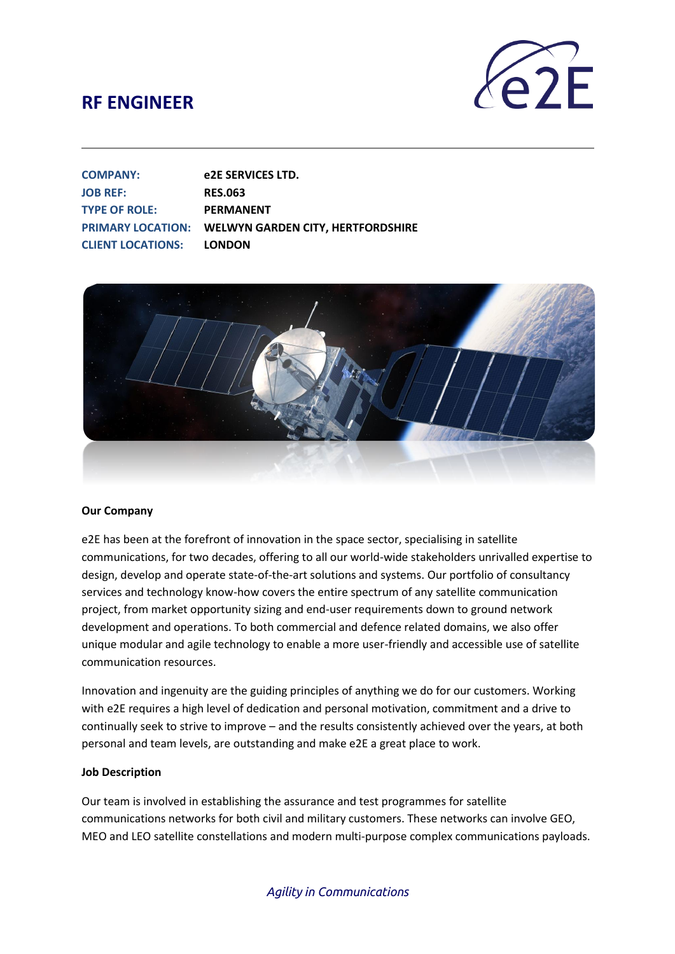

| <b>COMPANY:</b>                 | e2E SERVICES LTD.                                          |
|---------------------------------|------------------------------------------------------------|
| <b>JOB REF:</b>                 | <b>RES.063</b>                                             |
| <b>TYPE OF ROLE:</b>            | <b>PERMANENT</b>                                           |
|                                 | <b>PRIMARY LOCATION: WELWYN GARDEN CITY. HERTFORDSHIRE</b> |
| <b>CLIENT LOCATIONS: LONDON</b> |                                                            |



#### **Our Company**

e2E has been at the forefront of innovation in the space sector, specialising in satellite communications, for two decades, offering to all our world-wide stakeholders unrivalled expertise to design, develop and operate state-of-the-art solutions and systems. Our portfolio of consultancy services and technology know-how covers the entire spectrum of any satellite communication project, from market opportunity sizing and end-user requirements down to ground network development and operations. To both commercial and defence related domains, we also offer unique modular and agile technology to enable a more user-friendly and accessible use of satellite communication resources.

Innovation and ingenuity are the guiding principles of anything we do for our customers. Working with e2E requires a high level of dedication and personal motivation, commitment and a drive to continually seek to strive to improve – and the results consistently achieved over the years, at both personal and team levels, are outstanding and make e2E a great place to work.

#### **Job Description**

Our team is involved in establishing the assurance and test programmes for satellite communications networks for both civil and military customers. These networks can involve GEO, MEO and LEO satellite constellations and modern multi-purpose complex communications payloads.

#### *Agility in Communications*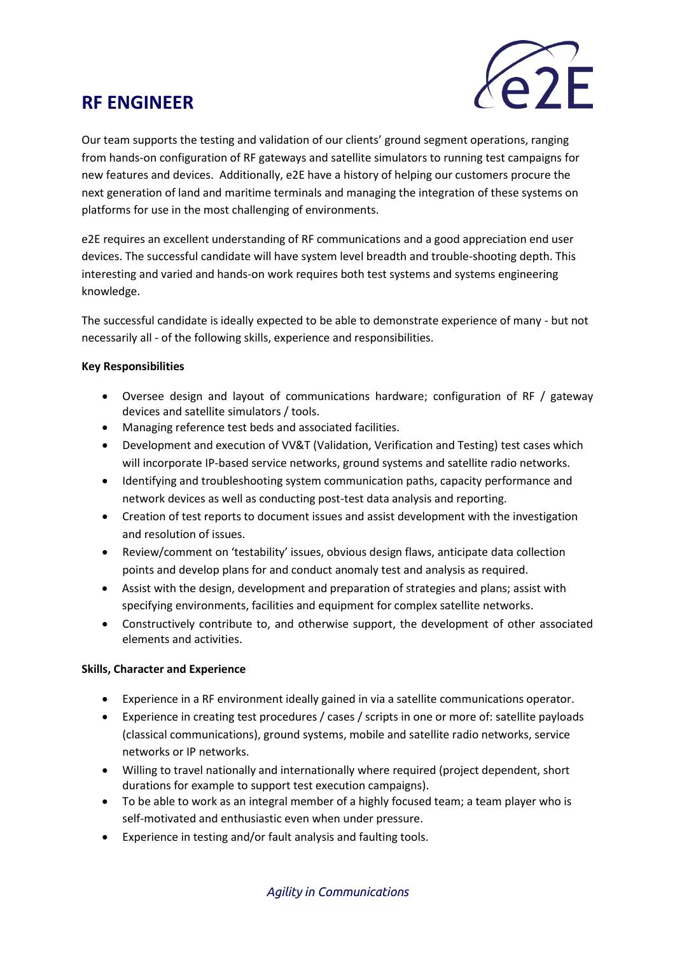

Our team supports the testing and validation of our clients' ground segment operations, ranging from hands-on configuration of RF gateways and satellite simulators to running test campaigns for new features and devices. Additionally, e2E have a history of helping our customers procure the next generation of land and maritime terminals and managing the integration of these systems on platforms for use in the most challenging of environments.

e2E requires an excellent understanding of RF communications and a good appreciation end user devices. The successful candidate will have system level breadth and trouble-shooting depth. This interesting and varied and hands-on work requires both test systems and systems engineering knowledge.

The successful candidate is ideally expected to be able to demonstrate experience of many - but not necessarily all - of the following skills, experience and responsibilities.

#### **Key Responsibilities**

- Oversee design and layout of communications hardware; configuration of RF / gateway devices and satellite simulators / tools.
- Managing reference test beds and associated facilities.
- Development and execution of VV&T (Validation, Verification and Testing) test cases which will incorporate IP-based service networks, ground systems and satellite radio networks.
- Identifying and troubleshooting system communication paths, capacity performance and network devices as well as conducting post-test data analysis and reporting.
- Creation of test reports to document issues and assist development with the investigation and resolution of issues.
- Review/comment on 'testability' issues, obvious design flaws, anticipate data collection points and develop plans for and conduct anomaly test and analysis as required.
- Assist with the design, development and preparation of strategies and plans; assist with specifying environments, facilities and equipment for complex satellite networks.
- Constructively contribute to, and otherwise support, the development of other associated elements and activities.

#### **Skills, Character and Experience**

- Experience in a RF environment ideally gained in via a satellite communications operator.
- Experience in creating test procedures / cases / scripts in one or more of: satellite payloads (classical communications), ground systems, mobile and satellite radio networks, service networks or IP networks.
- Willing to travel nationally and internationally where required (project dependent, short durations for example to support test execution campaigns).
- To be able to work as an integral member of a highly focused team; a team player who is self-motivated and enthusiastic even when under pressure.
- Experience in testing and/or fault analysis and faulting tools.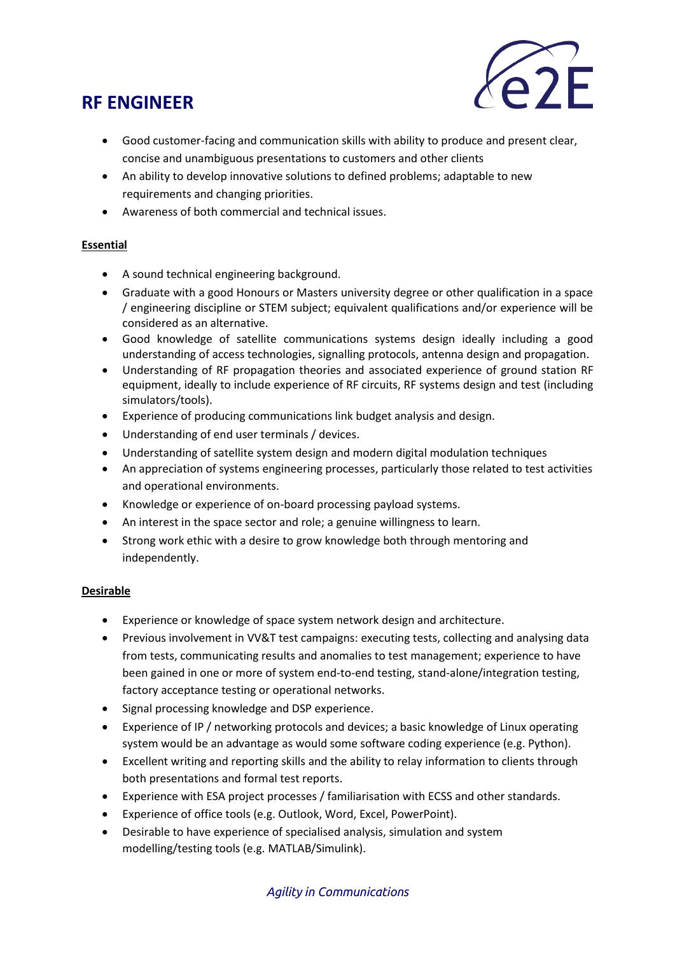

- Good customer-facing and communication skills with ability to produce and present clear, concise and unambiguous presentations to customers and other clients
- An ability to develop innovative solutions to defined problems; adaptable to new requirements and changing priorities.
- Awareness of both commercial and technical issues.

### **Essential**

- A sound technical engineering background.
- Graduate with a good Honours or Masters university degree or other qualification in a space / engineering discipline or STEM subject; equivalent qualifications and/or experience will be considered as an alternative.
- Good knowledge of satellite communications systems design ideally including a good understanding of access technologies, signalling protocols, antenna design and propagation.
- Understanding of RF propagation theories and associated experience of ground station RF equipment, ideally to include experience of RF circuits, RF systems design and test (including simulators/tools).
- Experience of producing communications link budget analysis and design.
- Understanding of end user terminals / devices.
- Understanding of satellite system design and modern digital modulation techniques
- An appreciation of systems engineering processes, particularly those related to test activities and operational environments.
- Knowledge or experience of on-board processing payload systems.
- An interest in the space sector and role; a genuine willingness to learn.
- Strong work ethic with a desire to grow knowledge both through mentoring and independently.

#### **Desirable**

- Experience or knowledge of space system network design and architecture.
- Previous involvement in VV&T test campaigns: executing tests, collecting and analysing data from tests, communicating results and anomalies to test management; experience to have been gained in one or more of system end-to-end testing, stand-alone/integration testing, factory acceptance testing or operational networks.
- Signal processing knowledge and DSP experience.
- Experience of IP / networking protocols and devices; a basic knowledge of Linux operating system would be an advantage as would some software coding experience (e.g. Python).
- Excellent writing and reporting skills and the ability to relay information to clients through both presentations and formal test reports.
- Experience with ESA project processes / familiarisation with ECSS and other standards.
- Experience of office tools (e.g. Outlook, Word, Excel, PowerPoint).
- Desirable to have experience of specialised analysis, simulation and system modelling/testing tools (e.g. MATLAB/Simulink).